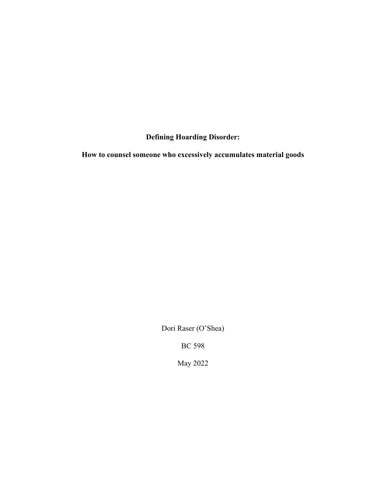# **Defining Hoarding Disorder:**

**How to counsel someone who excessively accumulates material goods**

Dori Raser (O'Shea)

BC 598

May 2022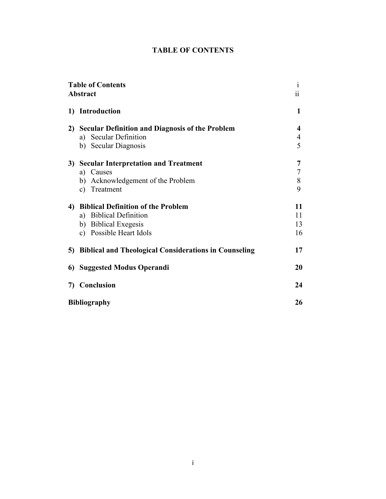# **TABLE OF CONTENTS**

| <b>Table of Contents</b><br><b>Abstract</b> |                                                                                                                    | 1<br>11              |
|---------------------------------------------|--------------------------------------------------------------------------------------------------------------------|----------------------|
|                                             | 1) Introduction                                                                                                    | 1                    |
|                                             | 2) Secular Definition and Diagnosis of the Problem<br><b>Secular Definition</b><br>a)<br>b) Secular Diagnosis      | 4<br>4<br>5          |
|                                             | 3) Secular Interpretation and Treatment<br>Causes<br>a)<br>b) Acknowledgement of the Problem<br>Treatment<br>C)    | 7<br>7<br>8<br>9     |
|                                             | 4) Biblical Definition of the Problem<br>a) Biblical Definition<br>b) Biblical Exegesis<br>c) Possible Heart Idols | 11<br>11<br>13<br>16 |
|                                             | 5) Biblical and Theological Considerations in Counseling                                                           | 17                   |
|                                             | 6) Suggested Modus Operandi                                                                                        | 20                   |
|                                             | 7) Conclusion                                                                                                      | 24                   |
| <b>Bibliography</b>                         |                                                                                                                    | 26                   |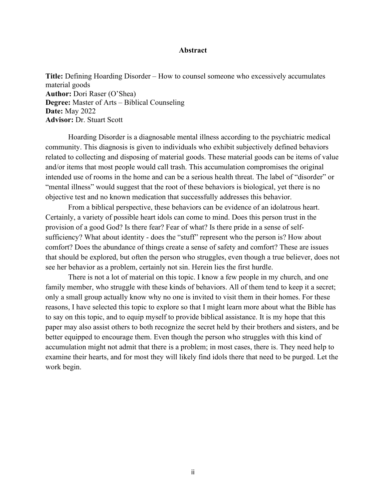# **Abstract**

**Title:** Defining Hoarding Disorder – How to counsel someone who excessively accumulates material goods **Author:** Dori Raser (O'Shea) **Degree:** Master of Arts – Biblical Counseling **Date:** May 2022 **Advisor:** Dr. Stuart Scott

Hoarding Disorder is a diagnosable mental illness according to the psychiatric medical community. This diagnosis is given to individuals who exhibit subjectively defined behaviors related to collecting and disposing of material goods. These material goods can be items of value and/or items that most people would call trash. This accumulation compromises the original intended use of rooms in the home and can be a serious health threat. The label of "disorder" or "mental illness" would suggest that the root of these behaviors is biological, yet there is no objective test and no known medication that successfully addresses this behavior.

From a biblical perspective, these behaviors can be evidence of an idolatrous heart. Certainly, a variety of possible heart idols can come to mind. Does this person trust in the provision of a good God? Is there fear? Fear of what? Is there pride in a sense of selfsufficiency? What about identity - does the "stuff" represent who the person is? How about comfort? Does the abundance of things create a sense of safety and comfort? These are issues that should be explored, but often the person who struggles, even though a true believer, does not see her behavior as a problem, certainly not sin. Herein lies the first hurdle.

There is not a lot of material on this topic. I know a few people in my church, and one family member, who struggle with these kinds of behaviors. All of them tend to keep it a secret; only a small group actually know why no one is invited to visit them in their homes. For these reasons, I have selected this topic to explore so that I might learn more about what the Bible has to say on this topic, and to equip myself to provide biblical assistance. It is my hope that this paper may also assist others to both recognize the secret held by their brothers and sisters, and be better equipped to encourage them. Even though the person who struggles with this kind of accumulation might not admit that there is a problem; in most cases, there is. They need help to examine their hearts, and for most they will likely find idols there that need to be purged. Let the work begin.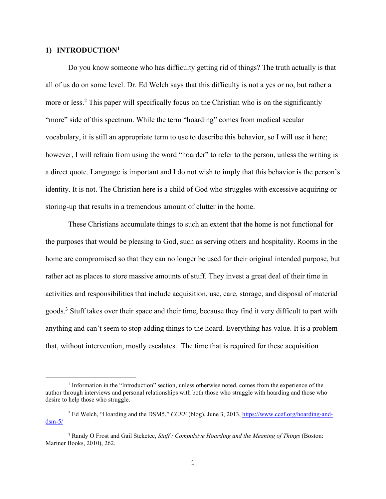## **1) INTRODUCTION1**

 $\overline{a}$ 

Do you know someone who has difficulty getting rid of things? The truth actually is that all of us do on some level. Dr. Ed Welch says that this difficulty is not a yes or no, but rather a more or less.<sup>2</sup> This paper will specifically focus on the Christian who is on the significantly "more" side of this spectrum. While the term "hoarding" comes from medical secular vocabulary, it is still an appropriate term to use to describe this behavior, so I will use it here; however, I will refrain from using the word "hoarder" to refer to the person, unless the writing is a direct quote. Language is important and I do not wish to imply that this behavior is the person's identity. It is not. The Christian here is a child of God who struggles with excessive acquiring or storing-up that results in a tremendous amount of clutter in the home.

These Christians accumulate things to such an extent that the home is not functional for the purposes that would be pleasing to God, such as serving others and hospitality. Rooms in the home are compromised so that they can no longer be used for their original intended purpose, but rather act as places to store massive amounts of stuff. They invest a great deal of their time in activities and responsibilities that include acquisition, use, care, storage, and disposal of material goods.<sup>3</sup> Stuff takes over their space and their time, because they find it very difficult to part with anything and can't seem to stop adding things to the hoard. Everything has value. It is a problem that, without intervention, mostly escalates. The time that is required for these acquisition

<sup>1</sup> Information in the "Introduction" section, unless otherwise noted, comes from the experience of the author through interviews and personal relationships with both those who struggle with hoarding and those who desire to help those who struggle.

<sup>2</sup> Ed Welch, "Hoarding and the DSM5," *CCEF* (blog), June 3, 2013, https://www.ccef.org/hoarding-and $d$ sm- $5/$ 

<sup>3</sup> Randy O Frost and Gail Steketee, *Stuff : Compulsive Hoarding and the Meaning of Things* (Boston: Mariner Books, 2010), 262.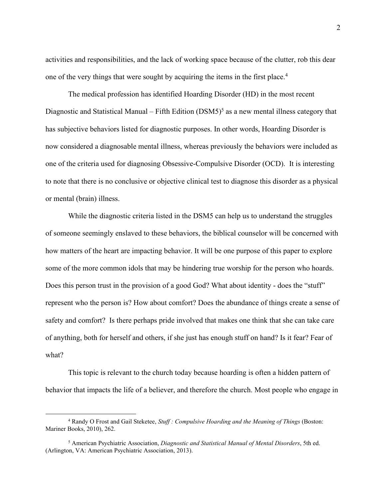activities and responsibilities, and the lack of working space because of the clutter, rob this dear one of the very things that were sought by acquiring the items in the first place. 4

The medical profession has identified Hoarding Disorder (HD) in the most recent Diagnostic and Statistical Manual – Fifth Edition  $(DSM5)^5$  as a new mental illness category that has subjective behaviors listed for diagnostic purposes. In other words, Hoarding Disorder is now considered a diagnosable mental illness, whereas previously the behaviors were included as one of the criteria used for diagnosing Obsessive-Compulsive Disorder (OCD). It is interesting to note that there is no conclusive or objective clinical test to diagnose this disorder as a physical or mental (brain) illness.

While the diagnostic criteria listed in the DSM5 can help us to understand the struggles of someone seemingly enslaved to these behaviors, the biblical counselor will be concerned with how matters of the heart are impacting behavior. It will be one purpose of this paper to explore some of the more common idols that may be hindering true worship for the person who hoards. Does this person trust in the provision of a good God? What about identity - does the "stuff" represent who the person is? How about comfort? Does the abundance of things create a sense of safety and comfort? Is there perhaps pride involved that makes one think that she can take care of anything, both for herself and others, if she just has enough stuff on hand? Is it fear? Fear of what?

This topic is relevant to the church today because hoarding is often a hidden pattern of behavior that impacts the life of a believer, and therefore the church. Most people who engage in

<sup>4</sup> Randy O Frost and Gail Steketee, *Stuff : Compulsive Hoarding and the Meaning of Things* (Boston: Mariner Books, 2010), 262.

<sup>5</sup> American Psychiatric Association, *Diagnostic and Statistical Manual of Mental Disorders*, 5th ed. (Arlington, VA: American Psychiatric Association, 2013).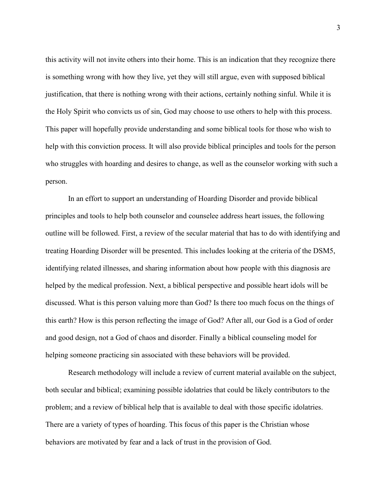this activity will not invite others into their home. This is an indication that they recognize there is something wrong with how they live, yet they will still argue, even with supposed biblical justification, that there is nothing wrong with their actions, certainly nothing sinful. While it is the Holy Spirit who convicts us of sin, God may choose to use others to help with this process. This paper will hopefully provide understanding and some biblical tools for those who wish to help with this conviction process. It will also provide biblical principles and tools for the person who struggles with hoarding and desires to change, as well as the counselor working with such a person.

In an effort to support an understanding of Hoarding Disorder and provide biblical principles and tools to help both counselor and counselee address heart issues, the following outline will be followed. First, a review of the secular material that has to do with identifying and treating Hoarding Disorder will be presented. This includes looking at the criteria of the DSM5, identifying related illnesses, and sharing information about how people with this diagnosis are helped by the medical profession. Next, a biblical perspective and possible heart idols will be discussed. What is this person valuing more than God? Is there too much focus on the things of this earth? How is this person reflecting the image of God? After all, our God is a God of order and good design, not a God of chaos and disorder. Finally a biblical counseling model for helping someone practicing sin associated with these behaviors will be provided.

Research methodology will include a review of current material available on the subject, both secular and biblical; examining possible idolatries that could be likely contributors to the problem; and a review of biblical help that is available to deal with those specific idolatries. There are a variety of types of hoarding. This focus of this paper is the Christian whose behaviors are motivated by fear and a lack of trust in the provision of God.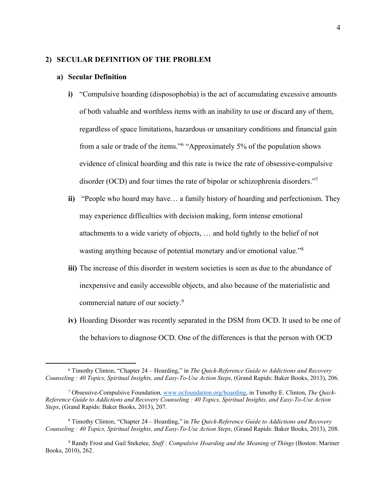### **2) SECULAR DEFINITION OF THE PROBLEM**

#### **a) Secular Definition**

- **i)** "Compulsive hoarding (disposophobia) is the act of accumulating excessive amounts of both valuable and worthless items with an inability to use or discard any of them, regardless of space limitations, hazardous or unsanitary conditions and financial gain from a sale or trade of the items."6 "Approximately 5% of the population shows evidence of clinical hoarding and this rate is twice the rate of obsessive-compulsive disorder (OCD) and four times the rate of bipolar or schizophrenia disorders."7
- **ii)** "People who hoard may have… a family history of hoarding and perfectionism. They may experience difficulties with decision making, form intense emotional attachments to a wide variety of objects, … and hold tightly to the belief of not wasting anything because of potential monetary and/or emotional value."8
- **iii)** The increase of this disorder in western societies is seen as due to the abundance of inexpensive and easily accessible objects, and also because of the materialistic and commercial nature of our society.9
- **iv)** Hoarding Disorder was recently separated in the DSM from OCD. It used to be one of the behaviors to diagnose OCD. One of the differences is that the person with OCD

<sup>6</sup> Timothy Clinton, "Chapter 24 – Hoarding," in *The Quick-Reference Guide to Addictions and Recovery Counseling : 40 Topics, Spiritual Insights, and Easy-To-Use Action Steps*, (Grand Rapids: Baker Books, 2013), 206.

<sup>7</sup> Obsessive-Compulsive Foundation, www.ocfoundation.org/hoarding, in Timothy E. Clinton, *The Quick-Reference Guide to Addictions and Recovery Counseling : 40 Topics, Spiritual Insights, and Easy-To-Use Action Steps*, (Grand Rapids: Baker Books, 2013), 207.

<sup>8</sup> Timothy Clinton, "Chapter 24 – Hoarding," in *The Quick-Reference Guide to Addictions and Recovery Counseling : 40 Topics, Spiritual Insights, and Easy-To-Use Action Steps*, (Grand Rapids: Baker Books, 2013), 208.

<sup>9</sup> Randy Frost and Gail Steketee, *Stuff : Compulsive Hoarding and the Meaning of Things* (Boston: Mariner Books, 2010), 262.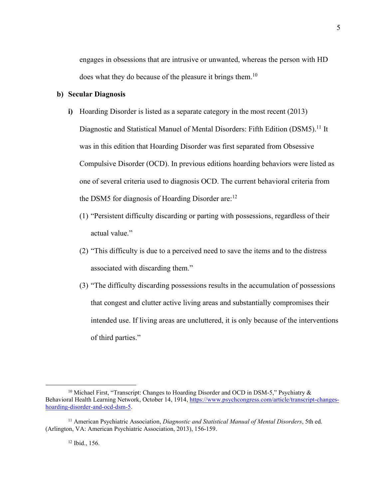engages in obsessions that are intrusive or unwanted, whereas the person with HD does what they do because of the pleasure it brings them.<sup>10</sup>

# **b) Secular Diagnosis**

- **i)** Hoarding Disorder is listed as a separate category in the most recent (2013) Diagnostic and Statistical Manuel of Mental Disorders: Fifth Edition (DSM5).<sup>11</sup> It was in this edition that Hoarding Disorder was first separated from Obsessive Compulsive Disorder (OCD). In previous editions hoarding behaviors were listed as one of several criteria used to diagnosis OCD. The current behavioral criteria from the DSM5 for diagnosis of Hoarding Disorder are:<sup>12</sup>
	- (1) "Persistent difficulty discarding or parting with possessions, regardless of their actual value."
	- (2) "This difficulty is due to a perceived need to save the items and to the distress associated with discarding them."
	- (3) "The difficulty discarding possessions results in the accumulation of possessions that congest and clutter active living areas and substantially compromises their intended use. If living areas are uncluttered, it is only because of the interventions of third parties."

<sup>10</sup> Michael First, "Transcript: Changes to Hoarding Disorder and OCD in DSM-5," Psychiatry & Behavioral Health Learning Network, October 14, 1914, https://www.psychcongress.com/article/transcript-changeshoarding-disorder-and-ocd-dsm-5.

<sup>11</sup> American Psychiatric Association, *Diagnostic and Statistical Manual of Mental Disorders*, 5th ed. (Arlington, VA: American Psychiatric Association, 2013), 156-159.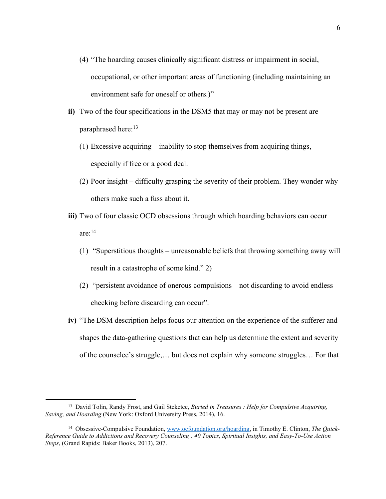- (4) "The hoarding causes clinically significant distress or impairment in social, occupational, or other important areas of functioning (including maintaining an environment safe for oneself or others.)"
- **ii)** Two of the four specifications in the DSM5 that may or may not be present are paraphrased here:<sup>13</sup>
	- (1) Excessive acquiring inability to stop themselves from acquiring things, especially if free or a good deal.
	- (2) Poor insight difficulty grasping the severity of their problem. They wonder why others make such a fuss about it.
- **iii)** Two of four classic OCD obsessions through which hoarding behaviors can occur are: 14
	- (1) "Superstitious thoughts unreasonable beliefs that throwing something away will result in a catastrophe of some kind." 2)
	- (2) "persistent avoidance of onerous compulsions not discarding to avoid endless checking before discarding can occur".
- **iv)** "The DSM description helps focus our attention on the experience of the sufferer and shapes the data-gathering questions that can help us determine the extent and severity of the counselee's struggle,… but does not explain why someone struggles… For that

<sup>13</sup> David Tolin, Randy Frost, and Gail Steketee, *Buried in Treasures : Help for Compulsive Acquiring, Saving, and Hoarding* (New York: Oxford University Press, 2014), 16.

<sup>14</sup> Obsessive-Compulsive Foundation, www.ocfoundation.org/hoarding, in Timothy E. Clinton, *The Quick-Reference Guide to Addictions and Recovery Counseling : 40 Topics, Spiritual Insights, and Easy-To-Use Action Steps*, (Grand Rapids: Baker Books, 2013), 207.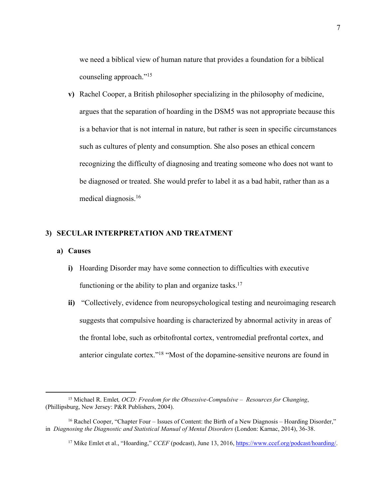we need a biblical view of human nature that provides a foundation for a biblical counseling approach."15

**v)** Rachel Cooper, a British philosopher specializing in the philosophy of medicine, argues that the separation of hoarding in the DSM5 was not appropriate because this is a behavior that is not internal in nature, but rather is seen in specific circumstances such as cultures of plenty and consumption. She also poses an ethical concern recognizing the difficulty of diagnosing and treating someone who does not want to be diagnosed or treated. She would prefer to label it as a bad habit, rather than as a medical diagnosis.16

# **3) SECULAR INTERPRETATION AND TREATMENT**

## **a) Causes**

- **i)** Hoarding Disorder may have some connection to difficulties with executive functioning or the ability to plan and organize tasks.<sup>17</sup>
- **ii)** "Collectively, evidence from neuropsychological testing and neuroimaging research suggests that compulsive hoarding is characterized by abnormal activity in areas of the frontal lobe, such as orbitofrontal cortex, ventromedial prefrontal cortex, and anterior cingulate cortex."18 "Most of the dopamine-sensitive neurons are found in

<sup>15</sup> Michael R. Emlet*, OCD: Freedom for the Obsessive-Compulsive – Resources for Changing*, (Phillipsburg, New Jersey: P&R Publishers, 2004).

<sup>16</sup> Rachel Cooper, "Chapter Four – Issues of Content: the Birth of a New Diagnosis – Hoarding Disorder," in *Diagnosing the Diagnostic and Statistical Manual of Mental Disorders* (London: Karnac, 2014), 36-38.

<sup>&</sup>lt;sup>17</sup> Mike Emlet et al., "Hoarding," *CCEF* (podcast), June 13, 2016, https://www.ccef.org/podcast/hoarding/.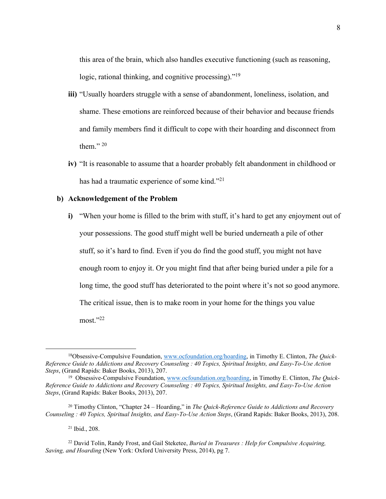this area of the brain, which also handles executive functioning (such as reasoning, logic, rational thinking, and cognitive processing)."<sup>19</sup>

- **iii)** "Usually hoarders struggle with a sense of abandonment, loneliness, isolation, and shame. These emotions are reinforced because of their behavior and because friends and family members find it difficult to cope with their hoarding and disconnect from them." $20$
- **iv)** "It is reasonable to assume that a hoarder probably felt abandonment in childhood or has had a traumatic experience of some kind."21

# **b) Acknowledgement of the Problem**

**i)** "When your home is filled to the brim with stuff, it's hard to get any enjoyment out of your possessions. The good stuff might well be buried underneath a pile of other stuff, so it's hard to find. Even if you do find the good stuff, you might not have enough room to enjoy it. Or you might find that after being buried under a pile for a long time, the good stuff has deteriorated to the point where it's not so good anymore. The critical issue, then is to make room in your home for the things you value most."22

<sup>21</sup> Ibid., 208.

 $\overline{a}$ 

<sup>22</sup> David Tolin, Randy Frost, and Gail Steketee, *Buried in Treasures : Help for Compulsive Acquiring, Saving, and Hoarding* (New York: Oxford University Press, 2014), pg 7.

<sup>18</sup>Obsessive-Compulsive Foundation, www.ocfoundation.org/hoarding, in Timothy E. Clinton, *The Quick-Reference Guide to Addictions and Recovery Counseling : 40 Topics, Spiritual Insights, and Easy-To-Use Action Steps, (Grand Rapids: Baker Books, 2013), 207.* 

<sup>&</sup>lt;sup>19</sup> Obsessive-Compulsive Foundation, www.ocfoundation.org/hoarding, in Timothy E. Clinton, *The Ouick*-*Reference Guide to Addictions and Recovery Counseling : 40 Topics, Spiritual Insights, and Easy-To-Use Action Steps*, (Grand Rapids: Baker Books, 2013), 207.

<sup>20</sup> Timothy Clinton, "Chapter 24 – Hoarding," in *The Quick-Reference Guide to Addictions and Recovery Counseling : 40 Topics, Spiritual Insights, and Easy-To-Use Action Steps*, (Grand Rapids: Baker Books, 2013), 208.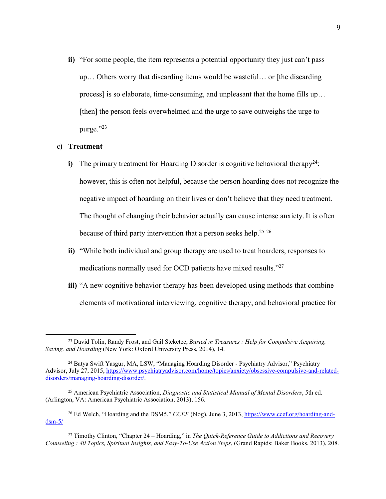**ii)** "For some people, the item represents a potential opportunity they just can't pass up… Others worry that discarding items would be wasteful… or [the discarding process] is so elaborate, time-consuming, and unpleasant that the home fills up… [then] the person feels overwhelmed and the urge to save outweighs the urge to purge."23

# **c) Treatment**

- **i)** The primary treatment for Hoarding Disorder is cognitive behavioral therapy<sup>24</sup>; however, this is often not helpful, because the person hoarding does not recognize the negative impact of hoarding on their lives or don't believe that they need treatment. The thought of changing their behavior actually can cause intense anxiety. It is often because of third party intervention that a person seeks help.<sup>25 26</sup>
- **ii)** "While both individual and group therapy are used to treat hoarders, responses to medications normally used for OCD patients have mixed results."27
- **iii)** "A new cognitive behavior therapy has been developed using methods that combine elements of motivational interviewing, cognitive therapy, and behavioral practice for

<sup>23</sup> David Tolin, Randy Frost, and Gail Steketee, *Buried in Treasures : Help for Compulsive Acquiring, Saving, and Hoarding* (New York: Oxford University Press, 2014), 14.

<sup>24</sup> Batya Swift Yasgur, MA, LSW, "Managing Hoarding Disorder - Psychiatry Advisor," Psychiatry Advisor, July 27, 2015, https://www.psychiatryadvisor.com/home/topics/anxiety/obsessive-compulsive-and-relateddisorders/managing-hoarding-disorder/.

<sup>25</sup> American Psychiatric Association, *Diagnostic and Statistical Manual of Mental Disorders*, 5th ed. (Arlington, VA: American Psychiatric Association, 2013), 156.

<sup>26</sup> Ed Welch, "Hoarding and the DSM5," *CCEF* (blog), June 3, 2013, https://www.ccef.org/hoarding-and $d$ sm-5/

<sup>27</sup> Timothy Clinton, "Chapter 24 – Hoarding," in *The Quick-Reference Guide to Addictions and Recovery Counseling : 40 Topics, Spiritual Insights, and Easy-To-Use Action Steps*, (Grand Rapids: Baker Books, 2013), 208.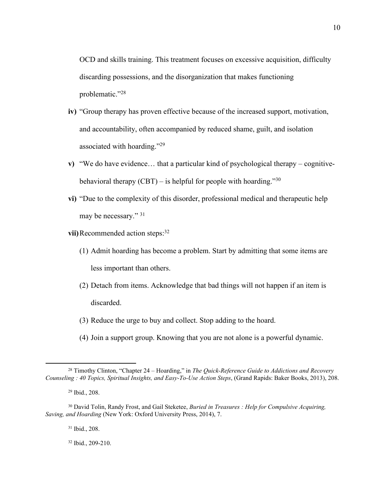OCD and skills training. This treatment focuses on excessive acquisition, difficulty discarding possessions, and the disorganization that makes functioning problematic."28

- **iv)** "Group therapy has proven effective because of the increased support, motivation, and accountability, often accompanied by reduced shame, guilt, and isolation associated with hoarding."29
- **v)** "We do have evidence… that a particular kind of psychological therapy cognitivebehavioral therapy  $(CBT)$  – is helpful for people with hoarding.<sup>730</sup>
- **vi)** "Due to the complexity of this disorder, professional medical and therapeutic help may be necessary." 31
- **vii)** Recommended action steps:<sup>32</sup>
	- (1) Admit hoarding has become a problem. Start by admitting that some items are less important than others.
	- (2) Detach from items. Acknowledge that bad things will not happen if an item is discarded.
	- (3) Reduce the urge to buy and collect. Stop adding to the hoard.
	- (4) Join a support group. Knowing that you are not alone is a powerful dynamic.

 $\overline{a}$ 

<sup>31</sup> Ibid., 208.

<sup>32</sup> Ibid., 209-210.

<sup>28</sup> Timothy Clinton, "Chapter 24 – Hoarding," in *The Quick-Reference Guide to Addictions and Recovery Counseling : 40 Topics, Spiritual Insights, and Easy-To-Use Action Steps*, (Grand Rapids: Baker Books, 2013), 208.

<sup>29</sup> Ibid., 208.

<sup>30</sup> David Tolin, Randy Frost, and Gail Steketee, *Buried in Treasures : Help for Compulsive Acquiring, Saving, and Hoarding* (New York: Oxford University Press, 2014), 7.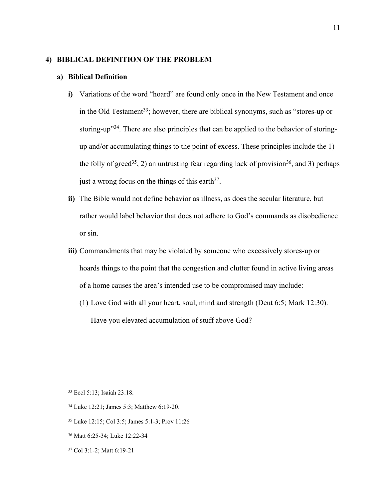# **4) BIBLICAL DEFINITION OF THE PROBLEM**

#### **a) Biblical Definition**

- **i)** Variations of the word "hoard" are found only once in the New Testament and once in the Old Testament<sup>33</sup>; however, there are biblical synonyms, such as "stores-up or storing-up"34. There are also principles that can be applied to the behavior of storingup and/or accumulating things to the point of excess. These principles include the 1) the folly of greed<sup>35</sup>, 2) an untrusting fear regarding lack of provision<sup>36</sup>, and 3) perhaps just a wrong focus on the things of this earth<sup>37</sup>.
- **ii)** The Bible would not define behavior as illness, as does the secular literature, but rather would label behavior that does not adhere to God's commands as disobedience or sin.
- **iii)** Commandments that may be violated by someone who excessively stores-up or hoards things to the point that the congestion and clutter found in active living areas of a home causes the area's intended use to be compromised may include:
	- (1) Love God with all your heart, soul, mind and strength (Deut 6:5; Mark 12:30). Have you elevated accumulation of stuff above God?

<sup>33</sup> Eccl 5:13; Isaiah 23:18.

<sup>34</sup> Luke 12:21; James 5:3; Matthew 6:19-20.

<sup>35</sup> Luke 12:15; Col 3:5; James 5:1-3; Prov 11:26

<sup>36</sup> Matt 6:25-34; Luke 12:22-34

<sup>37</sup> Col 3:1-2; Matt 6:19-21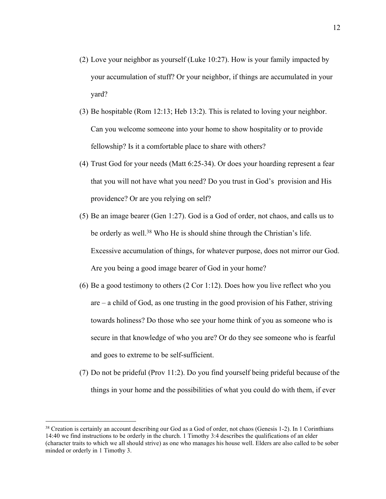- (2) Love your neighbor as yourself (Luke 10:27). How is your family impacted by your accumulation of stuff? Or your neighbor, if things are accumulated in your yard?
- (3) Be hospitable (Rom 12:13; Heb 13:2). This is related to loving your neighbor. Can you welcome someone into your home to show hospitality or to provide fellowship? Is it a comfortable place to share with others?
- (4) Trust God for your needs (Matt 6:25-34). Or does your hoarding represent a fear that you will not have what you need? Do you trust in God's provision and His providence? Or are you relying on self?
- (5) Be an image bearer (Gen 1:27). God is a God of order, not chaos, and calls us to be orderly as well.<sup>38</sup> Who He is should shine through the Christian's life. Excessive accumulation of things, for whatever purpose, does not mirror our God. Are you being a good image bearer of God in your home?
- (6) Be a good testimony to others (2 Cor 1:12). Does how you live reflect who you are – a child of God, as one trusting in the good provision of his Father, striving towards holiness? Do those who see your home think of you as someone who is secure in that knowledge of who you are? Or do they see someone who is fearful and goes to extreme to be self-sufficient.
- (7) Do not be prideful (Prov 11:2). Do you find yourself being prideful because of the things in your home and the possibilities of what you could do with them, if ever

<sup>38</sup> Creation is certainly an account describing our God as a God of order, not chaos (Genesis 1-2). In 1 Corinthians 14:40 we find instructions to be orderly in the church. 1 Timothy 3:4 describes the qualifications of an elder (character traits to which we all should strive) as one who manages his house well. Elders are also called to be sober minded or orderly in 1 Timothy 3.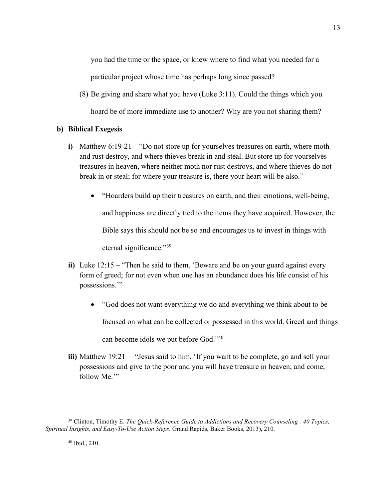you had the time or the space, or knew where to find what you needed for a particular project whose time has perhaps long since passed?

(8) Be giving and share what you have (Luke 3:11). Could the things which you hoard be of more immediate use to another? Why are you not sharing them?

# **b) Biblical Exegesis**

- **i)** Matthew 6:19-21 "Do not store up for yourselves treasures on earth, where moth and rust destroy, and where thieves break in and steal. But store up for yourselves treasures in heaven, where neither moth nor rust destroys, and where thieves do not break in or steal; for where your treasure is, there your heart will be also."
	- "Hoarders build up their treasures on earth, and their emotions, well-being,

and happiness are directly tied to the items they have acquired. However, the

Bible says this should not be so and encourages us to invest in things with

eternal significance."39

- **ii)** Luke 12:15 "Then he said to them, 'Beware and be on your guard against every form of greed; for not even when one has an abundance does his life consist of his possessions.'"
	- "God does not want everything we do and everything we think about to be focused on what can be collected or possessed in this world. Greed and things

can become idols we put before God."40

**iii)** Matthew 19:21 – "Jesus said to him, 'If you want to be complete, go and sell your possessions and give to the poor and you will have treasure in heaven; and come, follow Me."

13

<sup>39</sup> Clinton, Timothy E. *The Quick-Reference Guide to Addictions and Recovery Counseling : 40 Topics, Spiritual Insights, and Easy-To-Use Action Steps*. Grand Rapids, Baker Books, 2013), 210.

<sup>40</sup> Ibid., 210.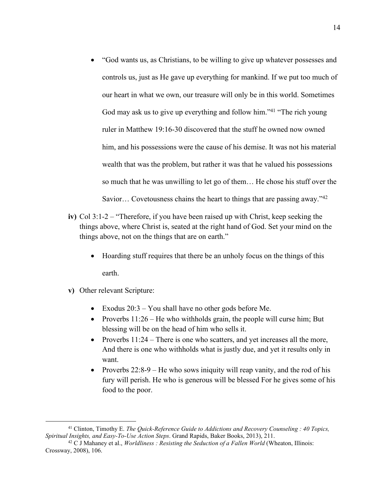- "God wants us, as Christians, to be willing to give up whatever possesses and controls us, just as He gave up everything for mankind. If we put too much of our heart in what we own, our treasure will only be in this world. Sometimes God may ask us to give up everything and follow him."<sup>41</sup> "The rich young ruler in Matthew 19:16-30 discovered that the stuff he owned now owned him, and his possessions were the cause of his demise. It was not his material wealth that was the problem, but rather it was that he valued his possessions so much that he was unwilling to let go of them… He chose his stuff over the Savior… Covetousness chains the heart to things that are passing away."42
- **iv)** Col 3:1-2 "Therefore, if you have been raised up with Christ, keep seeking the things above, where Christ is, seated at the right hand of God. Set your mind on the things above, not on the things that are on earth."
	- Hoarding stuff requires that there be an unholy focus on the things of this earth.
- **v)** Other relevant Scripture:

- Exodus 20:3 You shall have no other gods before Me.
- Proverbs  $11:26$  He who withholds grain, the people will curse him; But blessing will be on the head of him who sells it.
- Proverbs 11:24 There is one who scatters, and yet increases all the more, And there is one who withholds what is justly due, and yet it results only in want.
- Proverbs  $22:8-9$  He who sows iniquity will reap vanity, and the rod of his fury will perish. He who is generous will be blessed For he gives some of his food to the poor.

<sup>41</sup> Clinton, Timothy E. *The Quick-Reference Guide to Addictions and Recovery Counseling : 40 Topics, Spiritual Insights, and Easy-To-Use Action Steps*. Grand Rapids, Baker Books, 2013), 211.

<sup>42</sup> C J Mahaney et al., *Worldliness : Resisting the Seduction of a Fallen World* (Wheaton, Illinois: Crossway, 2008), 106.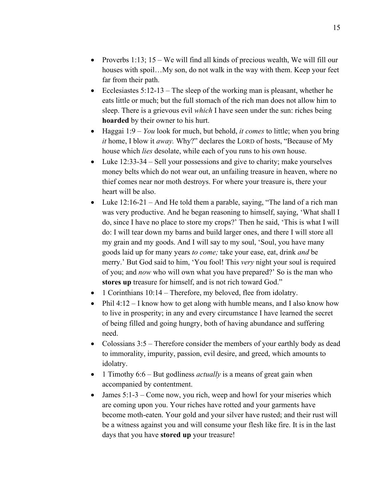- Proverbs 1:13;  $15 We will find all kinds of precious wealth, We will fill our$ houses with spoil…My son, do not walk in the way with them. Keep your feet far from their path.
- Ecclesiastes  $5:12-13$  The sleep of the working man is pleasant, whether he eats little or much; but the full stomach of the rich man does not allow him to sleep. There is a grievous evil *which* I have seen under the sun: riches being **hoarded** by their owner to his hurt.
- Haggai 1:9 *You* look for much, but behold, *it comes* to little; when you bring *it* home, I blow it *away.* Why?" declares the LORD of hosts, "Because of My house which *lies* desolate, while each of you runs to his own house.
- Luke 12:33-34 Sell your possessions and give to charity; make yourselves money belts which do not wear out, an unfailing treasure in heaven, where no thief comes near nor moth destroys. For where your treasure is, there your heart will be also.
- Luke  $12:16-21$  And He told them a parable, saying, "The land of a rich man was very productive. And he began reasoning to himself, saying, 'What shall I do, since I have no place to store my crops?' Then he said, 'This is what I will do: I will tear down my barns and build larger ones, and there I will store all my grain and my goods. And I will say to my soul, 'Soul, you have many goods laid up for many years *to come;* take your ease, eat, drink *and* be merry.' But God said to him, 'You fool! This *very* night your soul is required of you; and *now* who will own what you have prepared?' So is the man who **stores up** treasure for himself, and is not rich toward God."
- 1 Corinthians 10:14 Therefore, my beloved, flee from idolatry.
- Phil  $4:12 I$  know how to get along with humble means, and I also know how to live in prosperity; in any and every circumstance I have learned the secret of being filled and going hungry, both of having abundance and suffering need.
- Colossians 3:5 Therefore consider the members of your earthly body as dead to immorality, impurity, passion, evil desire, and greed, which amounts to idolatry.
- 1 Timothy 6:6 But godliness *actually* is a means of great gain when accompanied by contentment.
- James  $5:1-3$  Come now, you rich, weep and howl for your miseries which are coming upon you. Your riches have rotted and your garments have become moth-eaten. Your gold and your silver have rusted; and their rust will be a witness against you and will consume your flesh like fire. It is in the last days that you have **stored up** your treasure!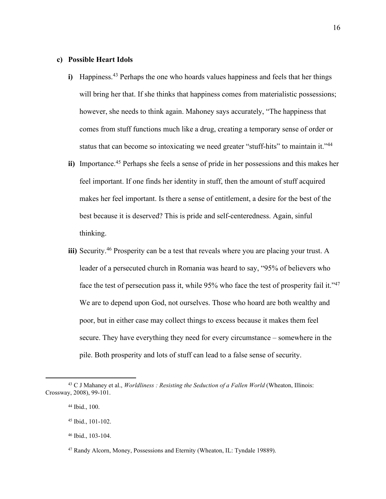# **c) Possible Heart Idols**

- **i)** Happiness.<sup>43</sup> Perhaps the one who hoards values happiness and feels that her things will bring her that. If she thinks that happiness comes from materialistic possessions; however, she needs to think again. Mahoney says accurately, "The happiness that comes from stuff functions much like a drug, creating a temporary sense of order or status that can become so intoxicating we need greater "stuff-hits" to maintain it."<sup>44</sup>
- **ii)** Importance.45 Perhaps she feels a sense of pride in her possessions and this makes her feel important. If one finds her identity in stuff, then the amount of stuff acquired makes her feel important. Is there a sense of entitlement, a desire for the best of the best because it is deserved? This is pride and self-centeredness. Again, sinful thinking.
- **iii)** Security.<sup>46</sup> Prosperity can be a test that reveals where you are placing your trust. A leader of a persecuted church in Romania was heard to say, "95% of believers who face the test of persecution pass it, while 95% who face the test of prosperity fail it."<sup>47</sup> We are to depend upon God, not ourselves. Those who hoard are both wealthy and poor, but in either case may collect things to excess because it makes them feel secure. They have everything they need for every circumstance – somewhere in the pile. Both prosperity and lots of stuff can lead to a false sense of security.

<sup>43</sup> C J Mahaney et al., *Worldliness : Resisting the Seduction of a Fallen World* (Wheaton, Illinois: Crossway, 2008), 99-101.

<sup>44</sup> Ibid., 100.

<sup>45</sup> Ibid., 101-102.

<sup>46</sup> Ibid., 103-104.

<sup>47</sup> Randy Alcorn, Money, Possessions and Eternity (Wheaton, IL: Tyndale 19889).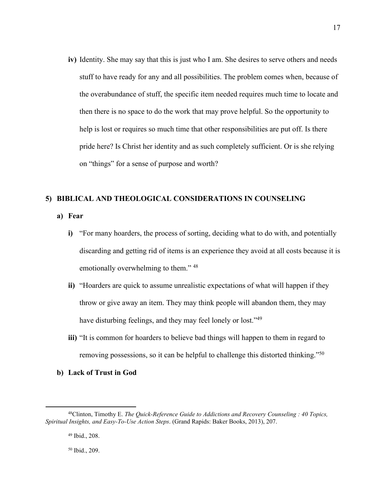**iv)** Identity. She may say that this is just who I am. She desires to serve others and needs stuff to have ready for any and all possibilities. The problem comes when, because of the overabundance of stuff, the specific item needed requires much time to locate and then there is no space to do the work that may prove helpful. So the opportunity to help is lost or requires so much time that other responsibilities are put off. Is there pride here? Is Christ her identity and as such completely sufficient. Or is she relying on "things" for a sense of purpose and worth?

# **5) BIBLICAL AND THEOLOGICAL CONSIDERATIONS IN COUNSELING**

- **a) Fear**
	- **i)** "For many hoarders, the process of sorting, deciding what to do with, and potentially discarding and getting rid of items is an experience they avoid at all costs because it is emotionally overwhelming to them." 48
	- **ii)** "Hoarders are quick to assume unrealistic expectations of what will happen if they throw or give away an item. They may think people will abandon them, they may have disturbing feelings, and they may feel lonely or lost."<sup>49</sup>
	- **iii)** "It is common for hoarders to believe bad things will happen to them in regard to removing possessions, so it can be helpful to challenge this distorted thinking."50
- **b) Lack of Trust in God**

 $\overline{a}$ 

<sup>50</sup> Ibid., 209.

<sup>48</sup>Clinton, Timothy E. *The Quick-Reference Guide to Addictions and Recovery Counseling : 40 Topics, Spiritual Insights, and Easy-To-Use Action Steps*. (Grand Rapids: Baker Books, 2013), 207.

<sup>49</sup> Ibid., 208.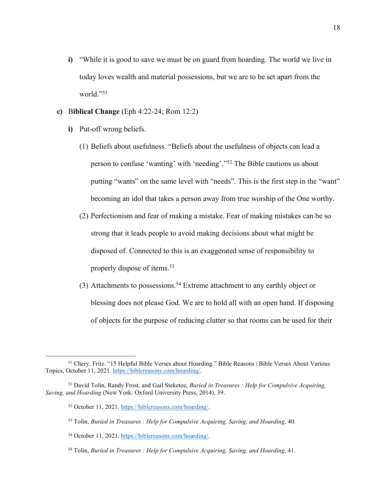- **i)** "While it is good to save we must be on guard from hoarding. The world we live in today loves wealth and material possessions, but we are to be set apart from the world."51
- **c)** B**iblical Change** (Eph 4:22-24; Rom 12:2)
	- **i)** Put-off wrong beliefs.
		- (1) Beliefs about usefulness. "Beliefs about the usefulness of objects can lead a person to confuse 'wanting' with 'needing'."52 The Bible cautions us about putting "wants" on the same level with "needs". This is the first step in the "want" becoming an idol that takes a person away from true worship of the One worthy.
		- (2) Perfectionism and fear of making a mistake. Fear of making mistakes can be so strong that it leads people to avoid making decisions about what might be disposed of. Connected to this is an exaggerated sense of responsibility to properly dispose of items.53
		- (3) Attachments to possessions. <sup>54</sup> Extreme attachment to any earthly object or blessing does not please God. We are to hold all with an open hand. If disposing of objects for the purpose of reducing clutter so that rooms can be used for their

<sup>51</sup> Chery, Fritz. "15 Helpful Bible Verses about Hoarding." Bible Reasons | Bible Verses About Various Topics, October 11, 2021. https://biblereasons.com/hoarding/.

<sup>52</sup> David Tolin, Randy Frost, and Gail Steketee, *Buried in Treasures : Help for Compulsive Acquiring, Saving, and Hoarding* (New York: Oxford University Press, 2014), 39.

<sup>53</sup> October 11, 2021. https://biblereasons.com/hoarding/.

<sup>53</sup> Tolin, *Buried in Treasures : Help for Compulsive Acquiring, Saving, and Hoarding*, 40.

<sup>54</sup> October 11, 2021. https://biblereasons.com/hoarding/.

<sup>54</sup> Tolin, *Buried in Treasures : Help for Compulsive Acquiring, Saving, and Hoarding*, 41.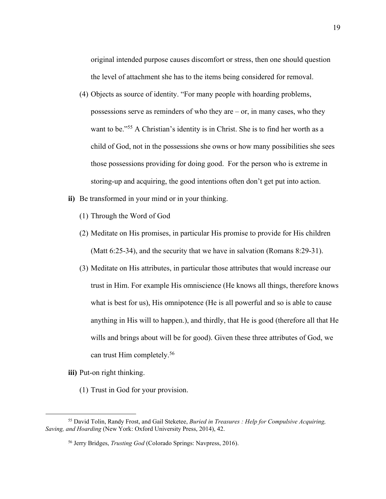original intended purpose causes discomfort or stress, then one should question the level of attachment she has to the items being considered for removal.

- (4) Objects as source of identity. "For many people with hoarding problems, possessions serve as reminders of who they are  $-$  or, in many cases, who they want to be."<sup>55</sup> A Christian's identity is in Christ. She is to find her worth as a child of God, not in the possessions she owns or how many possibilities she sees those possessions providing for doing good. For the person who is extreme in storing-up and acquiring, the good intentions often don't get put into action.
- **ii)** Be transformed in your mind or in your thinking.
	- (1) Through the Word of God
	- (2) Meditate on His promises, in particular His promise to provide for His children (Matt 6:25-34), and the security that we have in salvation (Romans 8:29-31).
	- (3) Meditate on His attributes, in particular those attributes that would increase our trust in Him. For example His omniscience (He knows all things, therefore knows what is best for us), His omnipotence (He is all powerful and so is able to cause anything in His will to happen.), and thirdly, that He is good (therefore all that He wills and brings about will be for good). Given these three attributes of God, we can trust Him completely. 56
- **iii)** Put-on right thinking.

 $\overline{a}$ 

(1) Trust in God for your provision.

<sup>55</sup> David Tolin, Randy Frost, and Gail Steketee, *Buried in Treasures : Help for Compulsive Acquiring, Saving, and Hoarding* (New York: Oxford University Press, 2014), 42.

<sup>56</sup> Jerry Bridges, *Trusting God* (Colorado Springs: Navpress, 2016).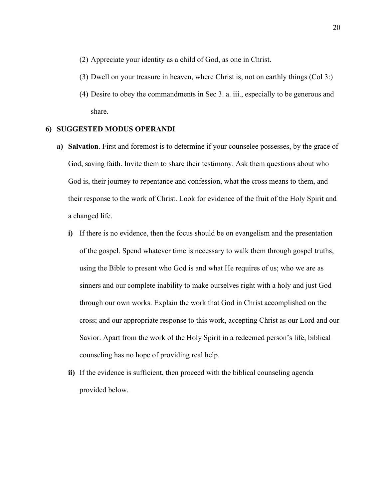- (2) Appreciate your identity as a child of God, as one in Christ.
- (3) Dwell on your treasure in heaven, where Christ is, not on earthly things (Col 3:)
- (4) Desire to obey the commandments in Sec 3. a. iii., especially to be generous and share.

#### **6) SUGGESTED MODUS OPERANDI**

- **a) Salvation**. First and foremost is to determine if your counselee possesses, by the grace of God, saving faith. Invite them to share their testimony. Ask them questions about who God is, their journey to repentance and confession, what the cross means to them, and their response to the work of Christ. Look for evidence of the fruit of the Holy Spirit and a changed life.
	- **i)** If there is no evidence, then the focus should be on evangelism and the presentation of the gospel. Spend whatever time is necessary to walk them through gospel truths, using the Bible to present who God is and what He requires of us; who we are as sinners and our complete inability to make ourselves right with a holy and just God through our own works. Explain the work that God in Christ accomplished on the cross; and our appropriate response to this work, accepting Christ as our Lord and our Savior. Apart from the work of the Holy Spirit in a redeemed person's life, biblical counseling has no hope of providing real help.
	- **ii)** If the evidence is sufficient, then proceed with the biblical counseling agenda provided below.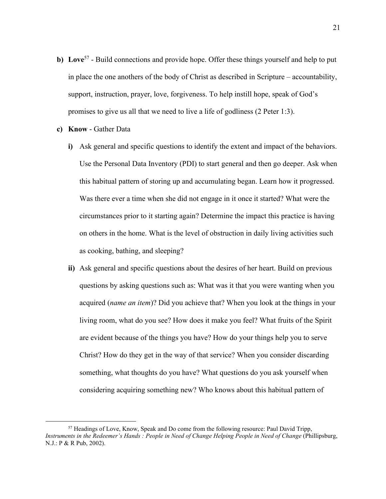- **b)** Love<sup>57</sup> Build connections and provide hope. Offer these things yourself and help to put in place the one anothers of the body of Christ as described in Scripture – accountability, support, instruction, prayer, love, forgiveness. To help instill hope, speak of God's promises to give us all that we need to live a life of godliness (2 Peter 1:3).
- **c) Know** Gather Data

- **i)** Ask general and specific questions to identify the extent and impact of the behaviors. Use the Personal Data Inventory (PDI) to start general and then go deeper. Ask when this habitual pattern of storing up and accumulating began. Learn how it progressed. Was there ever a time when she did not engage in it once it started? What were the circumstances prior to it starting again? Determine the impact this practice is having on others in the home. What is the level of obstruction in daily living activities such as cooking, bathing, and sleeping?
- **ii)** Ask general and specific questions about the desires of her heart. Build on previous questions by asking questions such as: What was it that you were wanting when you acquired (*name an item*)? Did you achieve that? When you look at the things in your living room, what do you see? How does it make you feel? What fruits of the Spirit are evident because of the things you have? How do your things help you to serve Christ? How do they get in the way of that service? When you consider discarding something, what thoughts do you have? What questions do you ask yourself when considering acquiring something new? Who knows about this habitual pattern of

<sup>57</sup> Headings of Love, Know, Speak and Do come from the following resource: Paul David Tripp, *Instruments in the Redeemer's Hands : People in Need of Change Helping People in Need of Change* (Phillipsburg, N.J.: P & R Pub, 2002).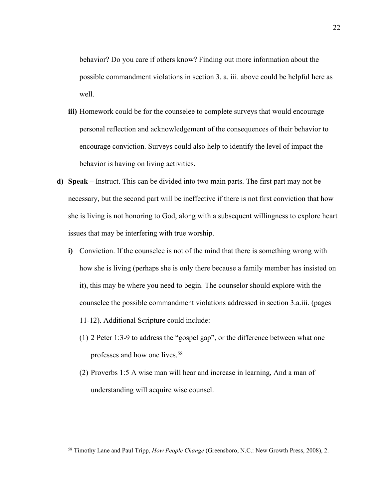behavior? Do you care if others know? Finding out more information about the possible commandment violations in section 3. a. iii. above could be helpful here as well.

- **iii)** Homework could be for the counselee to complete surveys that would encourage personal reflection and acknowledgement of the consequences of their behavior to encourage conviction. Surveys could also help to identify the level of impact the behavior is having on living activities.
- **d) Speak** Instruct. This can be divided into two main parts. The first part may not be necessary, but the second part will be ineffective if there is not first conviction that how she is living is not honoring to God, along with a subsequent willingness to explore heart issues that may be interfering with true worship.
	- **i)** Conviction. If the counselee is not of the mind that there is something wrong with how she is living (perhaps she is only there because a family member has insisted on it), this may be where you need to begin. The counselor should explore with the counselee the possible commandment violations addressed in section 3.a.iii. (pages 11-12). Additional Scripture could include:
		- (1) 2 Peter 1:3-9 to address the "gospel gap", or the difference between what one professes and how one lives.58
		- (2) Proverbs 1:5 A wise man will hear and increase in learning, And a man of understanding will acquire wise counsel.

<sup>58</sup> Timothy Lane and Paul Tripp, *How People Change* (Greensboro, N.C.: New Growth Press, 2008), 2.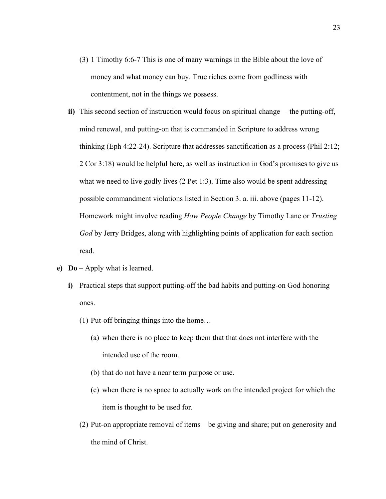- (3) 1 Timothy 6:6-7 This is one of many warnings in the Bible about the love of money and what money can buy. True riches come from godliness with contentment, not in the things we possess.
- **ii)** This second section of instruction would focus on spiritual change the putting-off, mind renewal, and putting-on that is commanded in Scripture to address wrong thinking (Eph 4:22-24). Scripture that addresses sanctification as a process (Phil 2:12; 2 Cor 3:18) would be helpful here, as well as instruction in God's promises to give us what we need to live godly lives (2 Pet 1:3). Time also would be spent addressing possible commandment violations listed in Section 3. a. iii. above (pages 11-12). Homework might involve reading *How People Change* by Timothy Lane or *Trusting God* by Jerry Bridges, along with highlighting points of application for each section read.
- **e) Do** Apply what is learned.
	- **i)** Practical steps that support putting-off the bad habits and putting-on God honoring ones.
		- (1) Put-off bringing things into the home…
			- (a) when there is no place to keep them that that does not interfere with the intended use of the room.
			- (b) that do not have a near term purpose or use.
			- (c) when there is no space to actually work on the intended project for which the item is thought to be used for.
		- (2) Put-on appropriate removal of items be giving and share; put on generosity and the mind of Christ.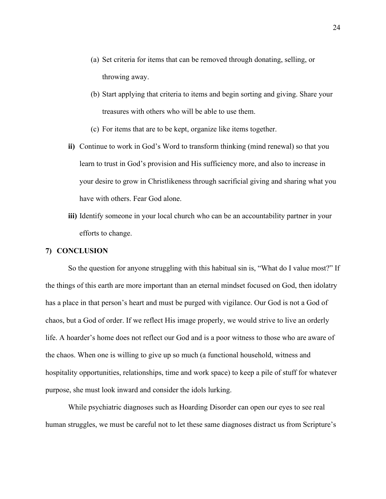- (a) Set criteria for items that can be removed through donating, selling, or throwing away.
- (b) Start applying that criteria to items and begin sorting and giving. Share your treasures with others who will be able to use them.
- (c) For items that are to be kept, organize like items together.
- **ii)** Continue to work in God's Word to transform thinking (mind renewal) so that you learn to trust in God's provision and His sufficiency more, and also to increase in your desire to grow in Christlikeness through sacrificial giving and sharing what you have with others. Fear God alone.
- **iii)** Identify someone in your local church who can be an accountability partner in your efforts to change.

# **7) CONCLUSION**

So the question for anyone struggling with this habitual sin is, "What do I value most?" If the things of this earth are more important than an eternal mindset focused on God, then idolatry has a place in that person's heart and must be purged with vigilance. Our God is not a God of chaos, but a God of order. If we reflect His image properly, we would strive to live an orderly life. A hoarder's home does not reflect our God and is a poor witness to those who are aware of the chaos. When one is willing to give up so much (a functional household, witness and hospitality opportunities, relationships, time and work space) to keep a pile of stuff for whatever purpose, she must look inward and consider the idols lurking.

While psychiatric diagnoses such as Hoarding Disorder can open our eyes to see real human struggles, we must be careful not to let these same diagnoses distract us from Scripture's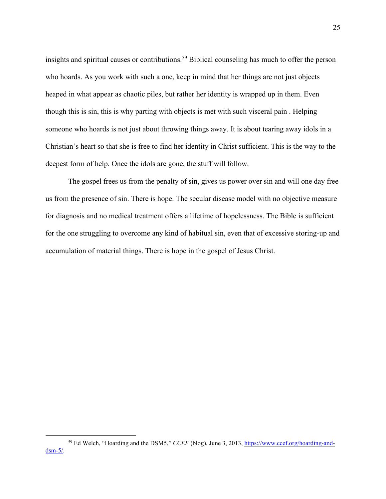insights and spiritual causes or contributions.<sup>59</sup> Biblical counseling has much to offer the person who hoards. As you work with such a one, keep in mind that her things are not just objects heaped in what appear as chaotic piles, but rather her identity is wrapped up in them. Even though this is sin, this is why parting with objects is met with such visceral pain . Helping someone who hoards is not just about throwing things away. It is about tearing away idols in a Christian's heart so that she is free to find her identity in Christ sufficient. This is the way to the deepest form of help. Once the idols are gone, the stuff will follow.

The gospel frees us from the penalty of sin, gives us power over sin and will one day free us from the presence of sin. There is hope. The secular disease model with no objective measure for diagnosis and no medical treatment offers a lifetime of hopelessness. The Bible is sufficient for the one struggling to overcome any kind of habitual sin, even that of excessive storing-up and accumulation of material things. There is hope in the gospel of Jesus Christ.

<sup>59</sup> Ed Welch, "Hoarding and the DSM5," *CCEF* (blog), June 3, 2013, https://www.ccef.org/hoarding-anddsm-5/.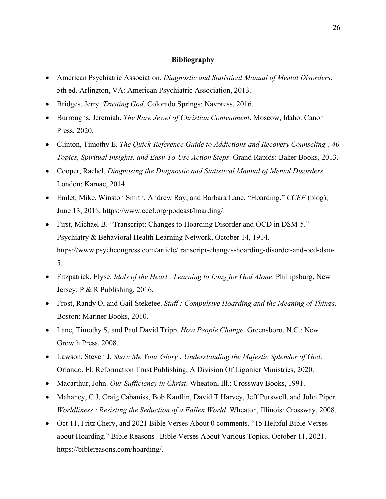# **Bibliography**

- American Psychiatric Association. *Diagnostic and Statistical Manual of Mental Disorders*. 5th ed. Arlington, VA: American Psychiatric Association, 2013.
- Bridges, Jerry. *Trusting God*. Colorado Springs: Navpress, 2016.
- Burroughs, Jeremiah. *The Rare Jewel of Christian Contentment*. Moscow, Idaho: Canon Press, 2020.
- Clinton, Timothy E. *The Quick-Reference Guide to Addictions and Recovery Counseling : 40 Topics, Spiritual Insights, and Easy-To-Use Action Steps*. Grand Rapids: Baker Books, 2013.
- Cooper, Rachel. *Diagnosing the Diagnostic and Statistical Manual of Mental Disorders*. London: Karnac, 2014.
- Emlet, Mike, Winston Smith, Andrew Ray, and Barbara Lane. "Hoarding." *CCEF* (blog), June 13, 2016. https://www.ccef.org/podcast/hoarding/.
- First, Michael B. "Transcript: Changes to Hoarding Disorder and OCD in DSM-5." Psychiatry & Behavioral Health Learning Network, October 14, 1914. https://www.psychcongress.com/article/transcript-changes-hoarding-disorder-and-ocd-dsm-5.
- Fitzpatrick, Elyse. *Idols of the Heart : Learning to Long for God Alone*. Phillipsburg, New Jersey: P & R Publishing, 2016.
- Frost, Randy O, and Gail Steketee. *Stuff : Compulsive Hoarding and the Meaning of Things*. Boston: Mariner Books, 2010.
- Lane, Timothy S, and Paul David Tripp. *How People Change*. Greensboro, N.C.: New Growth Press, 2008.
- Lawson, Steven J. *Show Me Your Glory : Understanding the Majestic Splendor of God*. Orlando, Fl: Reformation Trust Publishing, A Division Of Ligonier Ministries, 2020.
- Macarthur, John. *Our Sufficiency in Christ*. Wheaton, Ill.: Crossway Books, 1991.
- Mahaney, C J, Craig Cabaniss, Bob Kauflin, David T Harvey, Jeff Purswell, and John Piper. *Worldliness : Resisting the Seduction of a Fallen World*. Wheaton, Illinois: Crossway, 2008.
- Oct 11, Fritz Chery, and 2021 Bible Verses About 0 comments. "15 Helpful Bible Verses about Hoarding." Bible Reasons | Bible Verses About Various Topics, October 11, 2021. https://biblereasons.com/hoarding/.